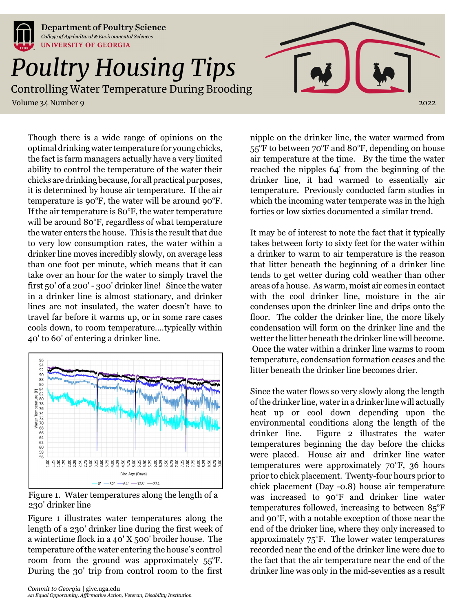

**Department of Poultry Science** College of Agricultural & Environmental Sciences **UNIVERSITY OF GEORGIA** 

## *Poultry Housing Tips*

Controlling Water Temperature During Brooding

Volume 34 Number 9 2022

Though there is a wide range of opinions on the optimal drinking water temperature for young chicks, the fact is farm managers actually have a very limited ability to control the temperature of the water their chicks are drinking because, for all practical purposes, it is determined by house air temperature. If the air temperature is  $90^{\circ}$ F, the water will be around  $90^{\circ}$ F. If the air temperature is  $80^\circ$ F, the water temperature will be around 80°F, regardless of what temperature the water enters the house. This is the result that due to very low consumption rates, the water within a drinker line moves incredibly slowly, on average less than one foot per minute, which means that it can take over an hour for the water to simply travel the first 50' of a 200' - 300' drinker line! Since the water in a drinker line is almost stationary, and drinker lines are not insulated, the water doesn't have to travel far before it warms up, or in some rare cases cools down, to room temperature....typically within 40' to 60' of entering a drinker line.



Figure 1. Water temperatures along the length of a 230' drinker line

Figure 1 illustrates water temperatures along the length of a 230' drinker line during the first week of a wintertime flock in a 40' X 500' broiler house. The temperature of the water entering the house's control room from the ground was approximately  $55^{\circ}$ F. During the 30' trip from control room to the first

nipple on the drinker line, the water warmed from 55°F to between 70°F and 80°F, depending on house air temperature at the time. By the time the water reached the nipples 64' from the beginning of the drinker line, it had warmed to essentially air temperature. Previously conducted farm studies in which the incoming water temperate was in the high forties or low sixties documented a similar trend.

It may be of interest to note the fact that it typically takes between forty to sixty feet for the water within a drinker to warm to air temperature is the reason that litter beneath the beginning of a drinker line tends to get wetter during cold weather than other areas of a house. As warm, moist air comes in contact with the cool drinker line, moisture in the air condenses upon the drinker line and drips onto the floor. The colder the drinker line, the more likely condensation will form on the drinker line and the wetter the litter beneath the drinker line will become. Once the water within a drinker line warms to room temperature, condensation formation ceases and the litter beneath the drinker line becomes drier.

Since the water flows so very slowly along the length of the drinker line, water in a drinker line will actually heat up or cool down depending upon the environmental conditions along the length of the drinker line. Figure 2 illustrates the water temperatures beginning the day before the chicks were placed. House air and drinker line water temperatures were approximately  $70^{\circ}$ F, 36 hours prior to chick placement. Twenty-four hours prior to chick placement (Day -0.8) house air temperature was increased to 90°F and drinker line water temperatures followed, increasing to between  $85^{\circ}$ F and 90°F, with a notable exception of those near the end of the drinker line, where they only increased to approximately  $75^{\circ}$ F. The lower water temperatures recorded near the end of the drinker line were due to the fact that the air temperature near the end of the drinker line was only in the mid-seventies as a result